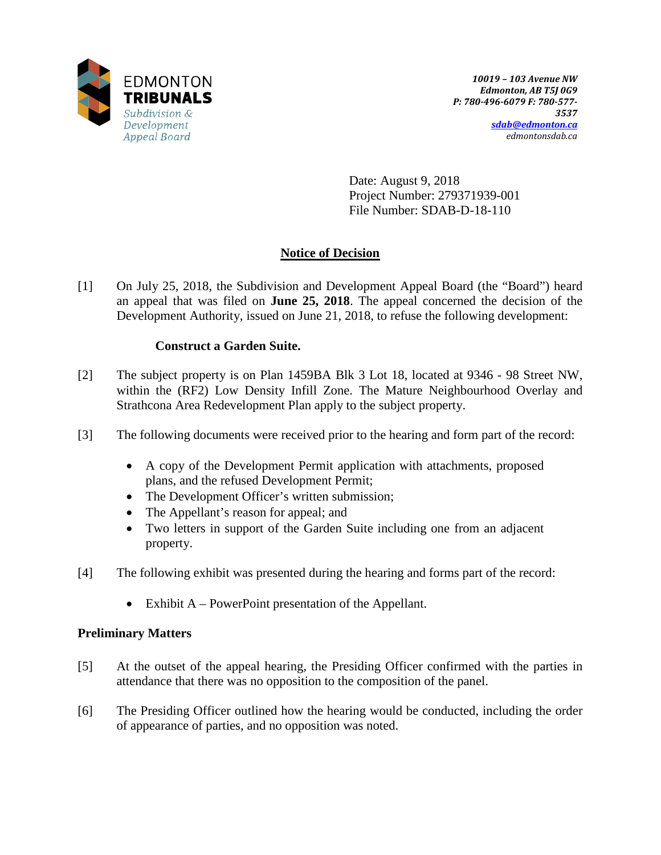

Date: August 9, 2018 Project Number: 279371939-001 File Number: SDAB-D-18-110

# **Notice of Decision**

[1] On July 25, 2018, the Subdivision and Development Appeal Board (the "Board") heard an appeal that was filed on **June 25, 2018**. The appeal concerned the decision of the Development Authority, issued on June 21, 2018, to refuse the following development:

# **Construct a Garden Suite.**

- [2] The subject property is on Plan 1459BA Blk 3 Lot 18, located at 9346 98 Street NW, within the (RF2) Low Density Infill Zone. The Mature Neighbourhood Overlay and Strathcona Area Redevelopment Plan apply to the subject property.
- [3] The following documents were received prior to the hearing and form part of the record:
	- A copy of the Development Permit application with attachments, proposed plans, and the refused Development Permit;
	- The Development Officer's written submission;
	- The Appellant's reason for appeal; and
	- Two letters in support of the Garden Suite including one from an adjacent property.
- [4] The following exhibit was presented during the hearing and forms part of the record:
	- Exhibit A PowerPoint presentation of the Appellant.

# **Preliminary Matters**

- [5] At the outset of the appeal hearing, the Presiding Officer confirmed with the parties in attendance that there was no opposition to the composition of the panel.
- [6] The Presiding Officer outlined how the hearing would be conducted, including the order of appearance of parties, and no opposition was noted.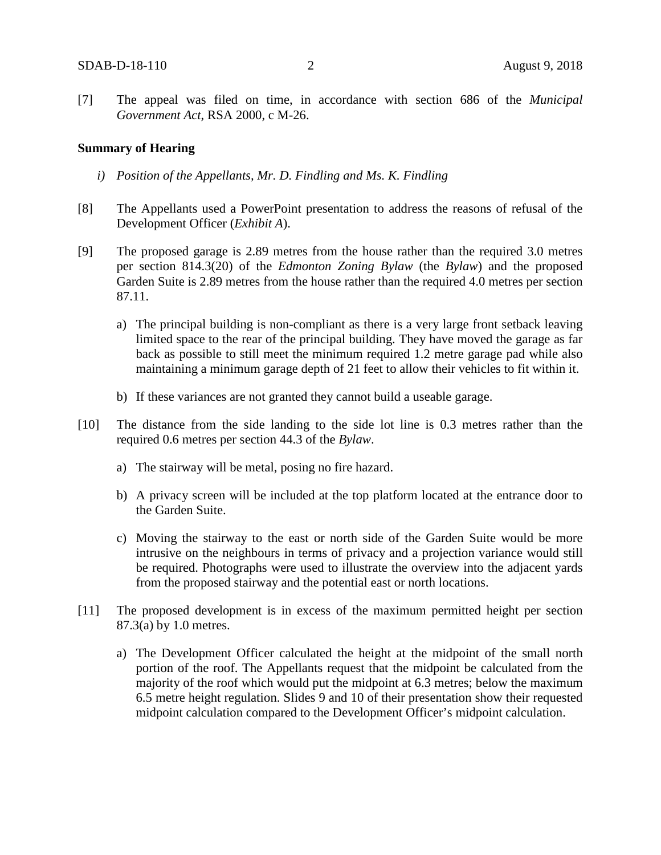[7] The appeal was filed on time, in accordance with section 686 of the *Municipal Government Act*, RSA 2000, c M-26.

#### **Summary of Hearing**

- *i) Position of the Appellants, Mr. D. Findling and Ms. K. Findling*
- [8] The Appellants used a PowerPoint presentation to address the reasons of refusal of the Development Officer (*Exhibit A*).
- [9] The proposed garage is 2.89 metres from the house rather than the required 3.0 metres per section 814.3(20) of the *Edmonton Zoning Bylaw* (the *Bylaw*) and the proposed Garden Suite is 2.89 metres from the house rather than the required 4.0 metres per section 87.11.
	- a) The principal building is non-compliant as there is a very large front setback leaving limited space to the rear of the principal building. They have moved the garage as far back as possible to still meet the minimum required 1.2 metre garage pad while also maintaining a minimum garage depth of 21 feet to allow their vehicles to fit within it.
	- b) If these variances are not granted they cannot build a useable garage.
- [10] The distance from the side landing to the side lot line is 0.3 metres rather than the required 0.6 metres per section 44.3 of the *Bylaw*.
	- a) The stairway will be metal, posing no fire hazard.
	- b) A privacy screen will be included at the top platform located at the entrance door to the Garden Suite.
	- c) Moving the stairway to the east or north side of the Garden Suite would be more intrusive on the neighbours in terms of privacy and a projection variance would still be required. Photographs were used to illustrate the overview into the adjacent yards from the proposed stairway and the potential east or north locations.
- [11] The proposed development is in excess of the maximum permitted height per section 87.3(a) by 1.0 metres.
	- a) The Development Officer calculated the height at the midpoint of the small north portion of the roof. The Appellants request that the midpoint be calculated from the majority of the roof which would put the midpoint at 6.3 metres; below the maximum 6.5 metre height regulation. Slides 9 and 10 of their presentation show their requested midpoint calculation compared to the Development Officer's midpoint calculation.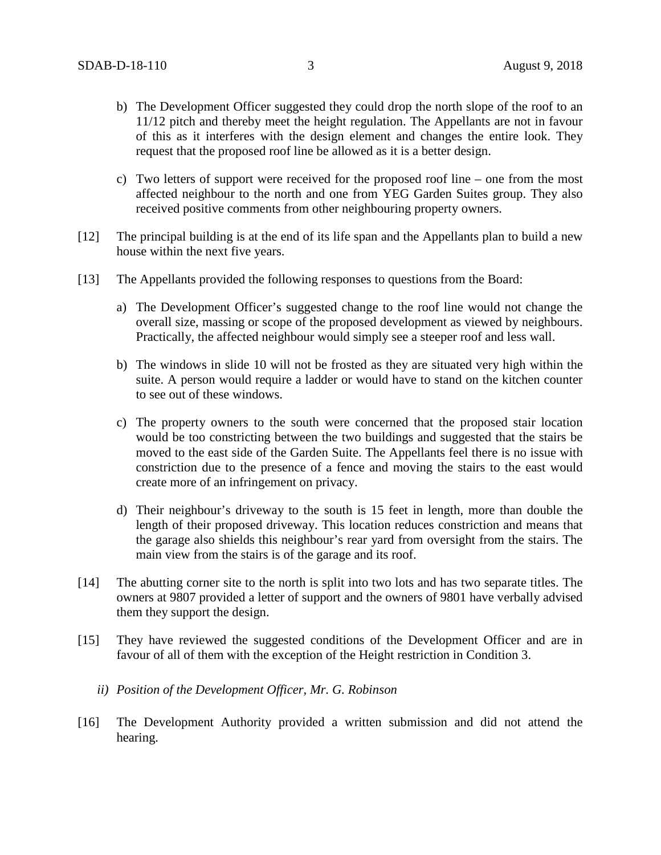- b) The Development Officer suggested they could drop the north slope of the roof to an 11/12 pitch and thereby meet the height regulation. The Appellants are not in favour of this as it interferes with the design element and changes the entire look. They request that the proposed roof line be allowed as it is a better design.
- c) Two letters of support were received for the proposed roof line one from the most affected neighbour to the north and one from YEG Garden Suites group. They also received positive comments from other neighbouring property owners.
- [12] The principal building is at the end of its life span and the Appellants plan to build a new house within the next five years.
- [13] The Appellants provided the following responses to questions from the Board:
	- a) The Development Officer's suggested change to the roof line would not change the overall size, massing or scope of the proposed development as viewed by neighbours. Practically, the affected neighbour would simply see a steeper roof and less wall.
	- b) The windows in slide 10 will not be frosted as they are situated very high within the suite. A person would require a ladder or would have to stand on the kitchen counter to see out of these windows.
	- c) The property owners to the south were concerned that the proposed stair location would be too constricting between the two buildings and suggested that the stairs be moved to the east side of the Garden Suite. The Appellants feel there is no issue with constriction due to the presence of a fence and moving the stairs to the east would create more of an infringement on privacy.
	- d) Their neighbour's driveway to the south is 15 feet in length, more than double the length of their proposed driveway. This location reduces constriction and means that the garage also shields this neighbour's rear yard from oversight from the stairs. The main view from the stairs is of the garage and its roof.
- [14] The abutting corner site to the north is split into two lots and has two separate titles. The owners at 9807 provided a letter of support and the owners of 9801 have verbally advised them they support the design.
- [15] They have reviewed the suggested conditions of the Development Officer and are in favour of all of them with the exception of the Height restriction in Condition 3.
	- *ii) Position of the Development Officer, Mr. G. Robinson*
- [16] The Development Authority provided a written submission and did not attend the hearing.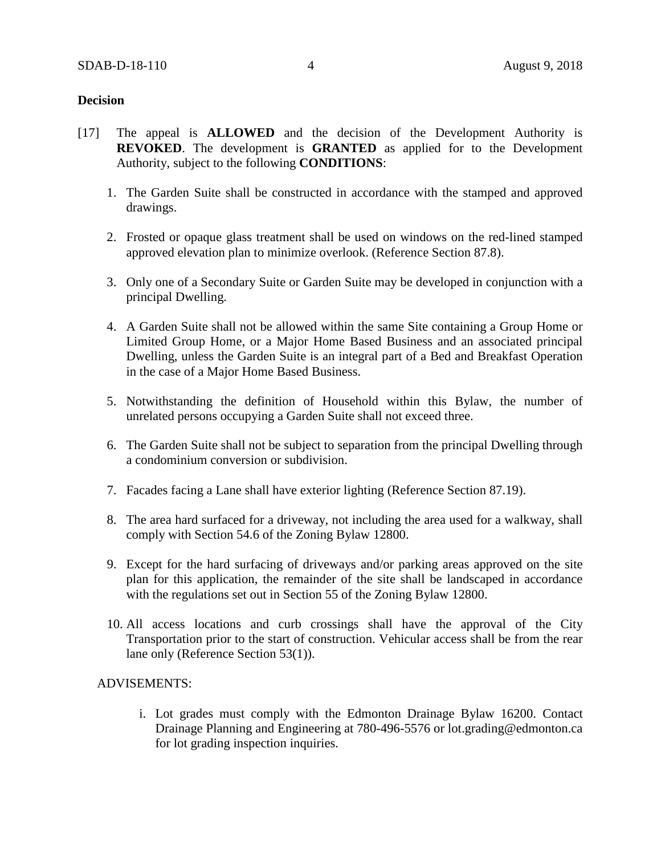## **Decision**

- [17] The appeal is **ALLOWED** and the decision of the Development Authority is **REVOKED**. The development is **GRANTED** as applied for to the Development Authority, subject to the following **CONDITIONS**:
	- 1. The Garden Suite shall be constructed in accordance with the stamped and approved drawings.
	- 2. Frosted or opaque glass treatment shall be used on windows on the red-lined stamped approved elevation plan to minimize overlook. (Reference Section 87.8).
	- 3. Only one of a Secondary Suite or Garden Suite may be developed in conjunction with a principal Dwelling.
	- 4. A Garden Suite shall not be allowed within the same Site containing a Group Home or Limited Group Home, or a Major Home Based Business and an associated principal Dwelling, unless the Garden Suite is an integral part of a Bed and Breakfast Operation in the case of a Major Home Based Business.
	- 5. Notwithstanding the definition of Household within this Bylaw, the number of unrelated persons occupying a Garden Suite shall not exceed three.
	- 6. The Garden Suite shall not be subject to separation from the principal Dwelling through a condominium conversion or subdivision.
	- 7. Facades facing a Lane shall have exterior lighting (Reference Section 87.19).
	- 8. The area hard surfaced for a driveway, not including the area used for a walkway, shall comply with Section 54.6 of the Zoning Bylaw 12800.
	- 9. Except for the hard surfacing of driveways and/or parking areas approved on the site plan for this application, the remainder of the site shall be landscaped in accordance with the regulations set out in Section 55 of the Zoning Bylaw 12800.
	- 10. All access locations and curb crossings shall have the approval of the City Transportation prior to the start of construction. Vehicular access shall be from the rear lane only (Reference Section 53(1)).

#### ADVISEMENTS:

i. Lot grades must comply with the Edmonton Drainage Bylaw 16200. Contact Drainage Planning and Engineering at 780-496-5576 or lot.grading@edmonton.ca for lot grading inspection inquiries.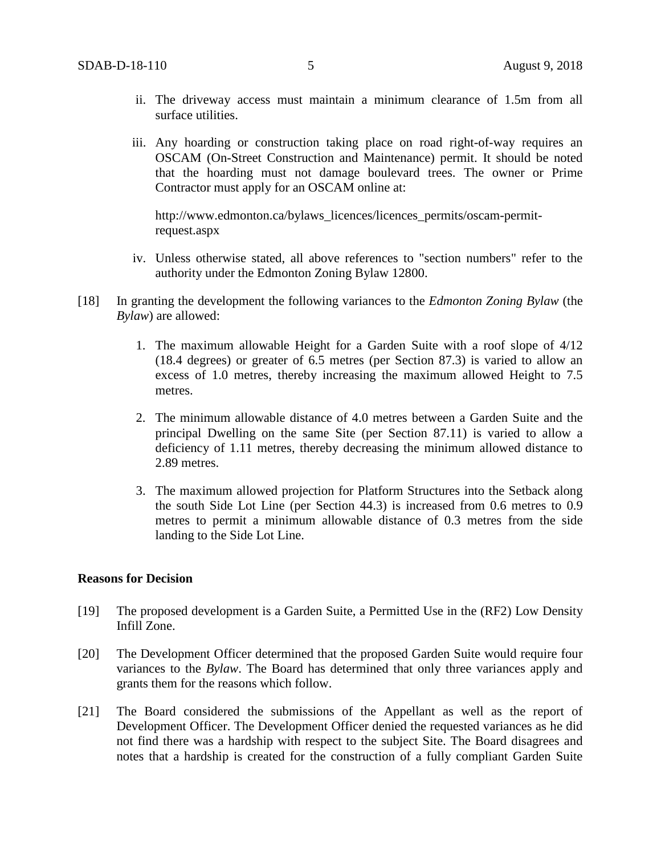- ii. The driveway access must maintain a minimum clearance of 1.5m from all surface utilities.
- iii. Any hoarding or construction taking place on road right-of-way requires an OSCAM (On-Street Construction and Maintenance) permit. It should be noted that the hoarding must not damage boulevard trees. The owner or Prime Contractor must apply for an OSCAM online at:

http://www.edmonton.ca/bylaws\_licences/licences\_permits/oscam-permitrequest.aspx

- iv. Unless otherwise stated, all above references to "section numbers" refer to the authority under the Edmonton Zoning Bylaw 12800.
- [18] In granting the development the following variances to the *Edmonton Zoning Bylaw* (the *Bylaw*) are allowed:
	- 1. The maximum allowable Height for a Garden Suite with a roof slope of 4/12 (18.4 degrees) or greater of 6.5 metres (per Section 87.3) is varied to allow an excess of 1.0 metres, thereby increasing the maximum allowed Height to 7.5 metres.
	- 2. The minimum allowable distance of 4.0 metres between a Garden Suite and the principal Dwelling on the same Site (per Section 87.11) is varied to allow a deficiency of 1.11 metres, thereby decreasing the minimum allowed distance to 2.89 metres.
	- 3. The maximum allowed projection for Platform Structures into the Setback along the south Side Lot Line (per Section 44.3) is increased from 0.6 metres to 0.9 metres to permit a minimum allowable distance of 0.3 metres from the side landing to the Side Lot Line.

#### **Reasons for Decision**

- [19] The proposed development is a Garden Suite, a Permitted Use in the (RF2) Low Density Infill Zone.
- [20] The Development Officer determined that the proposed Garden Suite would require four variances to the *Bylaw*. The Board has determined that only three variances apply and grants them for the reasons which follow.
- [21] The Board considered the submissions of the Appellant as well as the report of Development Officer. The Development Officer denied the requested variances as he did not find there was a hardship with respect to the subject Site. The Board disagrees and notes that a hardship is created for the construction of a fully compliant Garden Suite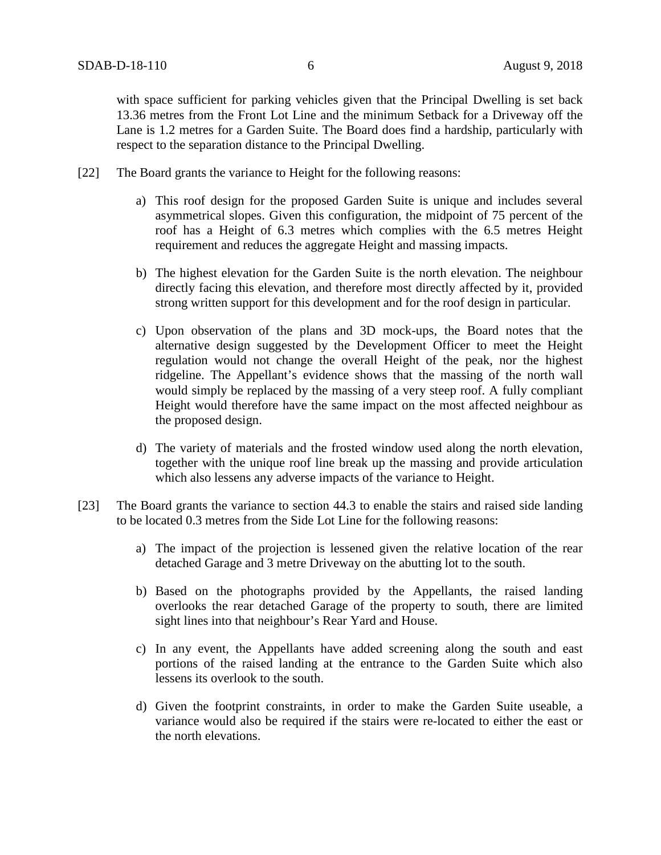with space sufficient for parking vehicles given that the Principal Dwelling is set back 13.36 metres from the Front Lot Line and the minimum Setback for a Driveway off the Lane is 1.2 metres for a Garden Suite. The Board does find a hardship, particularly with respect to the separation distance to the Principal Dwelling.

- [22] The Board grants the variance to Height for the following reasons:
	- a) This roof design for the proposed Garden Suite is unique and includes several asymmetrical slopes. Given this configuration, the midpoint of 75 percent of the roof has a Height of 6.3 metres which complies with the 6.5 metres Height requirement and reduces the aggregate Height and massing impacts.
	- b) The highest elevation for the Garden Suite is the north elevation. The neighbour directly facing this elevation, and therefore most directly affected by it, provided strong written support for this development and for the roof design in particular.
	- c) Upon observation of the plans and 3D mock-ups, the Board notes that the alternative design suggested by the Development Officer to meet the Height regulation would not change the overall Height of the peak, nor the highest ridgeline. The Appellant's evidence shows that the massing of the north wall would simply be replaced by the massing of a very steep roof. A fully compliant Height would therefore have the same impact on the most affected neighbour as the proposed design.
	- d) The variety of materials and the frosted window used along the north elevation, together with the unique roof line break up the massing and provide articulation which also lessens any adverse impacts of the variance to Height.
- [23] The Board grants the variance to section 44.3 to enable the stairs and raised side landing to be located 0.3 metres from the Side Lot Line for the following reasons:
	- a) The impact of the projection is lessened given the relative location of the rear detached Garage and 3 metre Driveway on the abutting lot to the south.
	- b) Based on the photographs provided by the Appellants, the raised landing overlooks the rear detached Garage of the property to south, there are limited sight lines into that neighbour's Rear Yard and House.
	- c) In any event, the Appellants have added screening along the south and east portions of the raised landing at the entrance to the Garden Suite which also lessens its overlook to the south.
	- d) Given the footprint constraints, in order to make the Garden Suite useable, a variance would also be required if the stairs were re-located to either the east or the north elevations.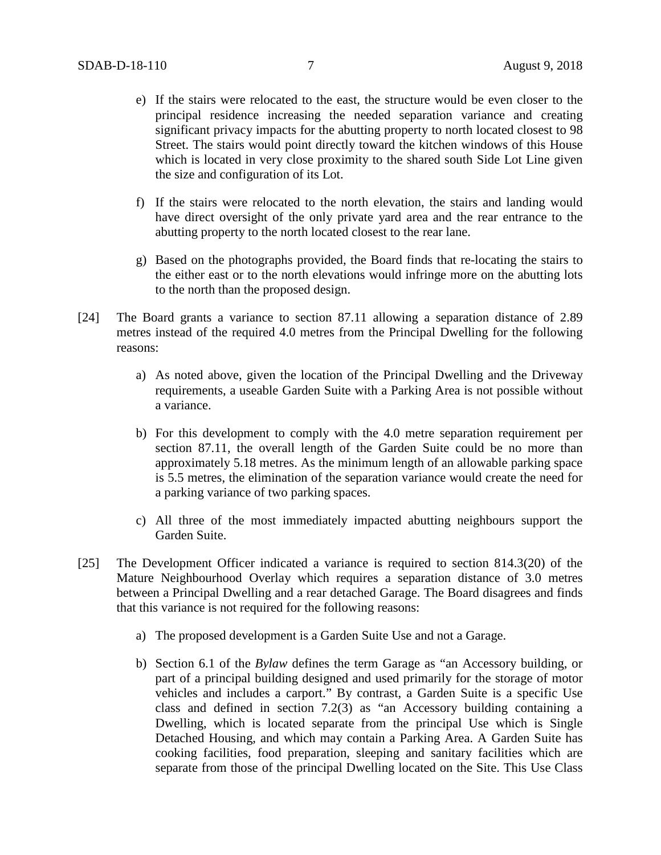- e) If the stairs were relocated to the east, the structure would be even closer to the principal residence increasing the needed separation variance and creating significant privacy impacts for the abutting property to north located closest to 98 Street. The stairs would point directly toward the kitchen windows of this House which is located in very close proximity to the shared south Side Lot Line given the size and configuration of its Lot.
- f) If the stairs were relocated to the north elevation, the stairs and landing would have direct oversight of the only private yard area and the rear entrance to the abutting property to the north located closest to the rear lane.
- g) Based on the photographs provided, the Board finds that re-locating the stairs to the either east or to the north elevations would infringe more on the abutting lots to the north than the proposed design.
- [24] The Board grants a variance to section 87.11 allowing a separation distance of 2.89 metres instead of the required 4.0 metres from the Principal Dwelling for the following reasons:
	- a) As noted above, given the location of the Principal Dwelling and the Driveway requirements, a useable Garden Suite with a Parking Area is not possible without a variance.
	- b) For this development to comply with the 4.0 metre separation requirement per section 87.11, the overall length of the Garden Suite could be no more than approximately 5.18 metres. As the minimum length of an allowable parking space is 5.5 metres, the elimination of the separation variance would create the need for a parking variance of two parking spaces.
	- c) All three of the most immediately impacted abutting neighbours support the Garden Suite.
- [25] The Development Officer indicated a variance is required to section 814.3(20) of the Mature Neighbourhood Overlay which requires a separation distance of 3.0 metres between a Principal Dwelling and a rear detached Garage. The Board disagrees and finds that this variance is not required for the following reasons:
	- a) The proposed development is a Garden Suite Use and not a Garage.
	- b) Section 6.1 of the *Bylaw* defines the term Garage as "an Accessory building, or part of a principal building designed and used primarily for the storage of motor vehicles and includes a carport." By contrast, a Garden Suite is a specific Use class and defined in section 7.2(3) as "an Accessory building containing a Dwelling, which is located separate from the principal Use which is Single Detached Housing, and which may contain a Parking Area. A Garden Suite has cooking facilities, food preparation, sleeping and sanitary facilities which are separate from those of the principal Dwelling located on the Site. This Use Class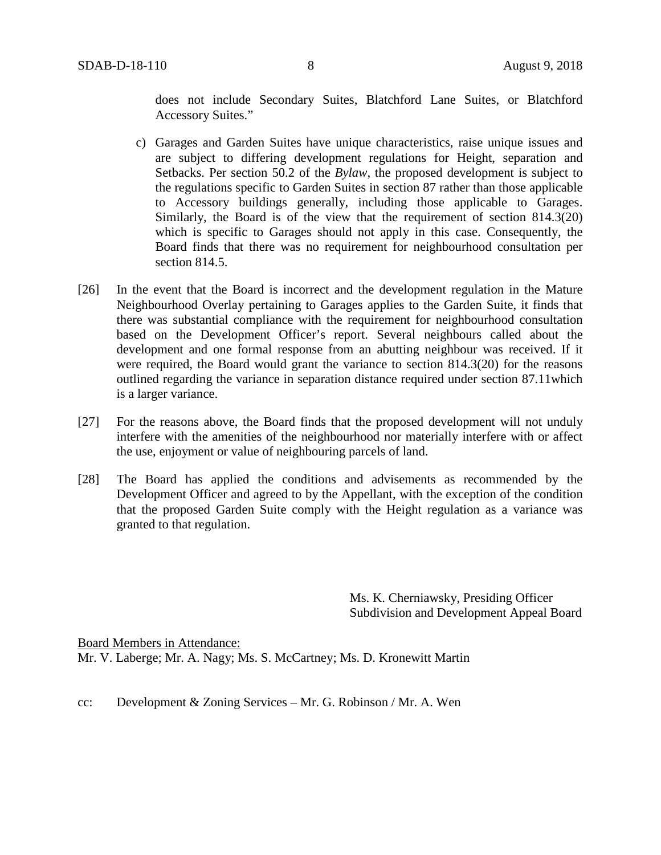does not include Secondary Suites, Blatchford Lane Suites, or Blatchford Accessory Suites."

- c) Garages and Garden Suites have unique characteristics, raise unique issues and are subject to differing development regulations for Height, separation and Setbacks. Per section 50.2 of the *Bylaw*, the proposed development is subject to the regulations specific to Garden Suites in section 87 rather than those applicable to Accessory buildings generally, including those applicable to Garages. Similarly, the Board is of the view that the requirement of section 814.3(20) which is specific to Garages should not apply in this case. Consequently, the Board finds that there was no requirement for neighbourhood consultation per section 814.5.
- [26] In the event that the Board is incorrect and the development regulation in the Mature Neighbourhood Overlay pertaining to Garages applies to the Garden Suite, it finds that there was substantial compliance with the requirement for neighbourhood consultation based on the Development Officer's report. Several neighbours called about the development and one formal response from an abutting neighbour was received. If it were required, the Board would grant the variance to section 814.3(20) for the reasons outlined regarding the variance in separation distance required under section 87.11which is a larger variance.
- [27] For the reasons above, the Board finds that the proposed development will not unduly interfere with the amenities of the neighbourhood nor materially interfere with or affect the use, enjoyment or value of neighbouring parcels of land.
- [28] The Board has applied the conditions and advisements as recommended by the Development Officer and agreed to by the Appellant, with the exception of the condition that the proposed Garden Suite comply with the Height regulation as a variance was granted to that regulation.

Ms. K. Cherniawsky, Presiding Officer Subdivision and Development Appeal Board

Board Members in Attendance: Mr. V. Laberge; Mr. A. Nagy; Ms. S. McCartney; Ms. D. Kronewitt Martin

cc: Development & Zoning Services – Mr. G. Robinson / Mr. A. Wen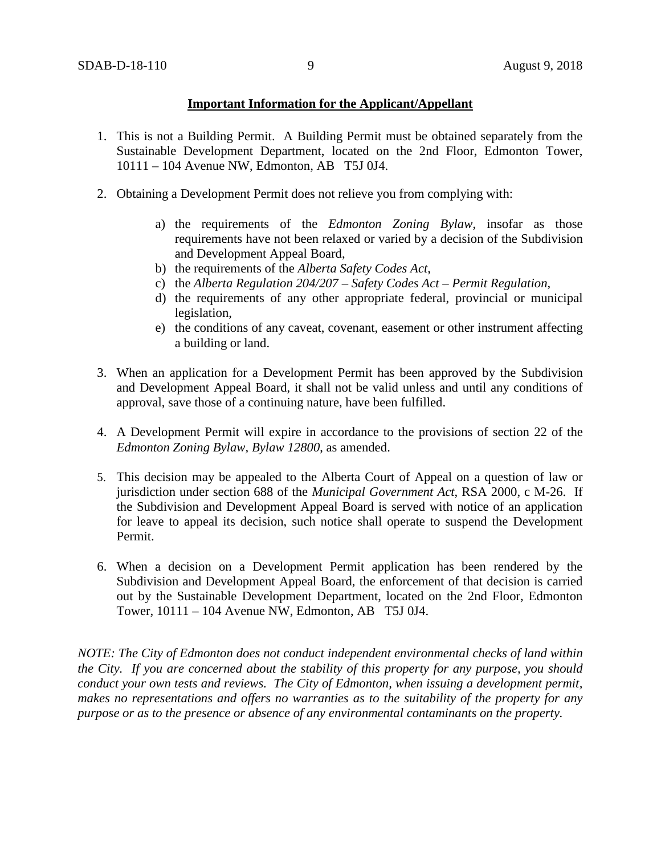## **Important Information for the Applicant/Appellant**

- 1. This is not a Building Permit. A Building Permit must be obtained separately from the Sustainable Development Department, located on the 2nd Floor, Edmonton Tower, 10111 – 104 Avenue NW, Edmonton, AB T5J 0J4.
- 2. Obtaining a Development Permit does not relieve you from complying with:
	- a) the requirements of the *Edmonton Zoning Bylaw*, insofar as those requirements have not been relaxed or varied by a decision of the Subdivision and Development Appeal Board,
	- b) the requirements of the *Alberta Safety Codes Act*,
	- c) the *Alberta Regulation 204/207 – Safety Codes Act – Permit Regulation*,
	- d) the requirements of any other appropriate federal, provincial or municipal legislation,
	- e) the conditions of any caveat, covenant, easement or other instrument affecting a building or land.
- 3. When an application for a Development Permit has been approved by the Subdivision and Development Appeal Board, it shall not be valid unless and until any conditions of approval, save those of a continuing nature, have been fulfilled.
- 4. A Development Permit will expire in accordance to the provisions of section 22 of the *Edmonton Zoning Bylaw, Bylaw 12800*, as amended.
- 5. This decision may be appealed to the Alberta Court of Appeal on a question of law or jurisdiction under section 688 of the *Municipal Government Act*, RSA 2000, c M-26. If the Subdivision and Development Appeal Board is served with notice of an application for leave to appeal its decision, such notice shall operate to suspend the Development Permit.
- 6. When a decision on a Development Permit application has been rendered by the Subdivision and Development Appeal Board, the enforcement of that decision is carried out by the Sustainable Development Department, located on the 2nd Floor, Edmonton Tower, 10111 – 104 Avenue NW, Edmonton, AB T5J 0J4.

*NOTE: The City of Edmonton does not conduct independent environmental checks of land within the City. If you are concerned about the stability of this property for any purpose, you should conduct your own tests and reviews. The City of Edmonton, when issuing a development permit, makes no representations and offers no warranties as to the suitability of the property for any purpose or as to the presence or absence of any environmental contaminants on the property.*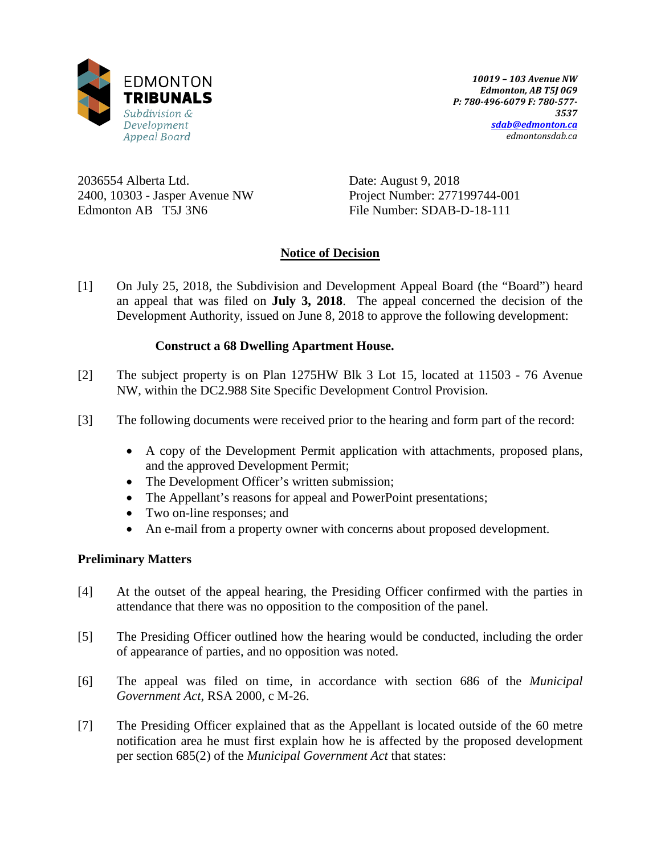

2036554 Alberta Ltd. 2400, 10303 - Jasper Avenue NW Edmonton AB T5J 3N6

Date: August 9, 2018 Project Number: 277199744-001 File Number: SDAB-D-18-111

# **Notice of Decision**

[1] On July 25, 2018, the Subdivision and Development Appeal Board (the "Board") heard an appeal that was filed on **July 3, 2018**. The appeal concerned the decision of the Development Authority, issued on June 8, 2018 to approve the following development:

# **Construct a 68 Dwelling Apartment House.**

- [2] The subject property is on Plan 1275HW Blk 3 Lot 15, located at 11503 76 Avenue NW, within the DC2.988 Site Specific Development Control Provision.
- [3] The following documents were received prior to the hearing and form part of the record:
	- A copy of the Development Permit application with attachments, proposed plans, and the approved Development Permit;
	- The Development Officer's written submission;
	- The Appellant's reasons for appeal and PowerPoint presentations;
	- Two on-line responses; and
	- An e-mail from a property owner with concerns about proposed development.

## **Preliminary Matters**

- [4] At the outset of the appeal hearing, the Presiding Officer confirmed with the parties in attendance that there was no opposition to the composition of the panel.
- [5] The Presiding Officer outlined how the hearing would be conducted, including the order of appearance of parties, and no opposition was noted.
- [6] The appeal was filed on time, in accordance with section 686 of the *Municipal Government Act*, RSA 2000, c M-26.
- [7] The Presiding Officer explained that as the Appellant is located outside of the 60 metre notification area he must first explain how he is affected by the proposed development per section 685(2) of the *Municipal Government Act* that states: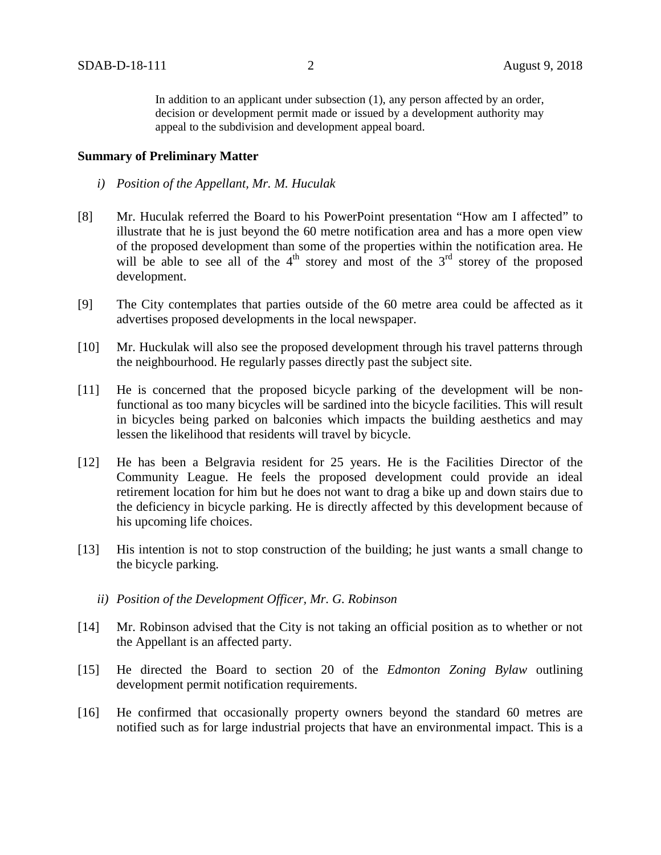In addition to an applicant under subsection (1), any person affected by an order, decision or development permit made or issued by a development authority may appeal to the subdivision and development appeal board.

#### **Summary of Preliminary Matter**

- *i) Position of the Appellant, Mr. M. Huculak*
- [8] Mr. Huculak referred the Board to his PowerPoint presentation "How am I affected" to illustrate that he is just beyond the 60 metre notification area and has a more open view of the proposed development than some of the properties within the notification area. He will be able to see all of the  $4<sup>th</sup>$  storey and most of the  $3<sup>rd</sup>$  storey of the proposed development.
- [9] The City contemplates that parties outside of the 60 metre area could be affected as it advertises proposed developments in the local newspaper.
- [10] Mr. Huckulak will also see the proposed development through his travel patterns through the neighbourhood. He regularly passes directly past the subject site.
- [11] He is concerned that the proposed bicycle parking of the development will be nonfunctional as too many bicycles will be sardined into the bicycle facilities. This will result in bicycles being parked on balconies which impacts the building aesthetics and may lessen the likelihood that residents will travel by bicycle.
- [12] He has been a Belgravia resident for 25 years. He is the Facilities Director of the Community League. He feels the proposed development could provide an ideal retirement location for him but he does not want to drag a bike up and down stairs due to the deficiency in bicycle parking. He is directly affected by this development because of his upcoming life choices.
- [13] His intention is not to stop construction of the building; he just wants a small change to the bicycle parking.
	- *ii) Position of the Development Officer, Mr. G. Robinson*
- [14] Mr. Robinson advised that the City is not taking an official position as to whether or not the Appellant is an affected party.
- [15] He directed the Board to section 20 of the *Edmonton Zoning Bylaw* outlining development permit notification requirements.
- [16] He confirmed that occasionally property owners beyond the standard 60 metres are notified such as for large industrial projects that have an environmental impact. This is a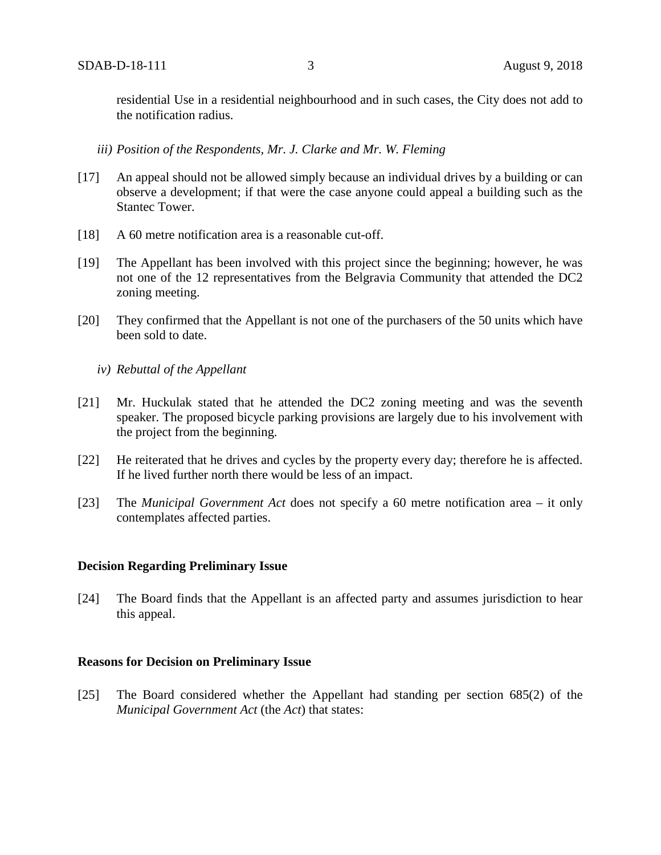residential Use in a residential neighbourhood and in such cases, the City does not add to the notification radius.

#### *iii) Position of the Respondents, Mr. J. Clarke and Mr. W. Fleming*

- [17] An appeal should not be allowed simply because an individual drives by a building or can observe a development; if that were the case anyone could appeal a building such as the Stantec Tower.
- [18] A 60 metre notification area is a reasonable cut-off.
- [19] The Appellant has been involved with this project since the beginning; however, he was not one of the 12 representatives from the Belgravia Community that attended the DC2 zoning meeting.
- [20] They confirmed that the Appellant is not one of the purchasers of the 50 units which have been sold to date.
	- *iv) Rebuttal of the Appellant*
- [21] Mr. Huckulak stated that he attended the DC2 zoning meeting and was the seventh speaker. The proposed bicycle parking provisions are largely due to his involvement with the project from the beginning.
- [22] He reiterated that he drives and cycles by the property every day; therefore he is affected. If he lived further north there would be less of an impact.
- [23] The *Municipal Government Act* does not specify a 60 metre notification area it only contemplates affected parties.

#### **Decision Regarding Preliminary Issue**

[24] The Board finds that the Appellant is an affected party and assumes jurisdiction to hear this appeal.

#### **Reasons for Decision on Preliminary Issue**

[25] The Board considered whether the Appellant had standing per section 685(2) of the *Municipal Government Act* (the *Act*) that states: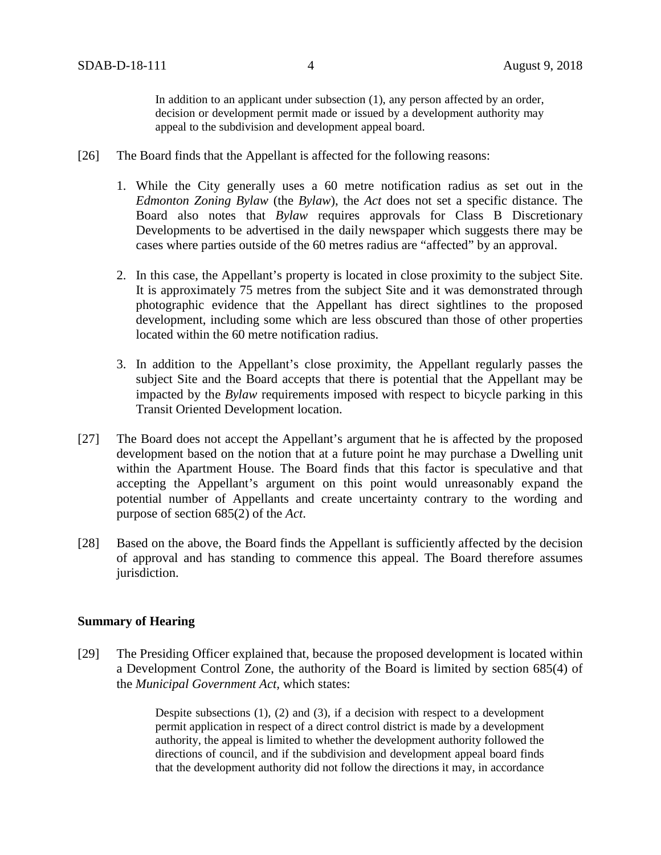In addition to an applicant under subsection (1), any person affected by an order, decision or development permit made or issued by a development authority may appeal to the subdivision and development appeal board.

- [26] The Board finds that the Appellant is affected for the following reasons:
	- 1. While the City generally uses a 60 metre notification radius as set out in the *Edmonton Zoning Bylaw* (the *Bylaw*), the *Act* does not set a specific distance. The Board also notes that *Bylaw* requires approvals for Class B Discretionary Developments to be advertised in the daily newspaper which suggests there may be cases where parties outside of the 60 metres radius are "affected" by an approval.
	- 2. In this case, the Appellant's property is located in close proximity to the subject Site. It is approximately 75 metres from the subject Site and it was demonstrated through photographic evidence that the Appellant has direct sightlines to the proposed development, including some which are less obscured than those of other properties located within the 60 metre notification radius.
	- 3. In addition to the Appellant's close proximity, the Appellant regularly passes the subject Site and the Board accepts that there is potential that the Appellant may be impacted by the *Bylaw* requirements imposed with respect to bicycle parking in this Transit Oriented Development location.
- [27] The Board does not accept the Appellant's argument that he is affected by the proposed development based on the notion that at a future point he may purchase a Dwelling unit within the Apartment House. The Board finds that this factor is speculative and that accepting the Appellant's argument on this point would unreasonably expand the potential number of Appellants and create uncertainty contrary to the wording and purpose of section 685(2) of the *Act*.
- [28] Based on the above, the Board finds the Appellant is sufficiently affected by the decision of approval and has standing to commence this appeal. The Board therefore assumes jurisdiction.

#### **Summary of Hearing**

[29] The Presiding Officer explained that, because the proposed development is located within a Development Control Zone, the authority of the Board is limited by section 685(4) of the *Municipal Government Act,* which states:

> Despite subsections (1), (2) and (3), if a decision with respect to a development permit application in respect of a direct control district is made by a development authority, the appeal is limited to whether the development authority followed the directions of council, and if the subdivision and development appeal board finds that the development authority did not follow the directions it may, in accordance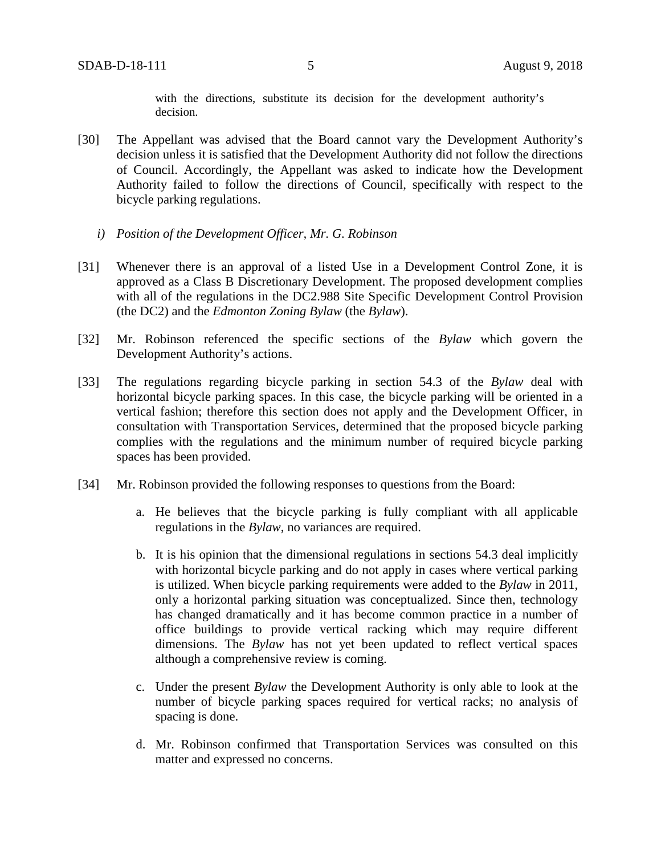with the directions, substitute its decision for the development authority's decision.

- [30] The Appellant was advised that the Board cannot vary the Development Authority's decision unless it is satisfied that the Development Authority did not follow the directions of Council. Accordingly, the Appellant was asked to indicate how the Development Authority failed to follow the directions of Council, specifically with respect to the bicycle parking regulations.
	- *i) Position of the Development Officer, Mr. G. Robinson*
- [31] Whenever there is an approval of a listed Use in a Development Control Zone, it is approved as a Class B Discretionary Development. The proposed development complies with all of the regulations in the DC2.988 Site Specific Development Control Provision (the DC2) and the *Edmonton Zoning Bylaw* (the *Bylaw*).
- [32] Mr. Robinson referenced the specific sections of the *Bylaw* which govern the Development Authority's actions.
- [33] The regulations regarding bicycle parking in section 54.3 of the *Bylaw* deal with horizontal bicycle parking spaces. In this case, the bicycle parking will be oriented in a vertical fashion; therefore this section does not apply and the Development Officer, in consultation with Transportation Services, determined that the proposed bicycle parking complies with the regulations and the minimum number of required bicycle parking spaces has been provided.
- [34] Mr. Robinson provided the following responses to questions from the Board:
	- a. He believes that the bicycle parking is fully compliant with all applicable regulations in the *Bylaw*, no variances are required.
	- b. It is his opinion that the dimensional regulations in sections 54.3 deal implicitly with horizontal bicycle parking and do not apply in cases where vertical parking is utilized. When bicycle parking requirements were added to the *Bylaw* in 2011, only a horizontal parking situation was conceptualized. Since then, technology has changed dramatically and it has become common practice in a number of office buildings to provide vertical racking which may require different dimensions. The *Bylaw* has not yet been updated to reflect vertical spaces although a comprehensive review is coming.
	- c. Under the present *Bylaw* the Development Authority is only able to look at the number of bicycle parking spaces required for vertical racks; no analysis of spacing is done.
	- d. Mr. Robinson confirmed that Transportation Services was consulted on this matter and expressed no concerns.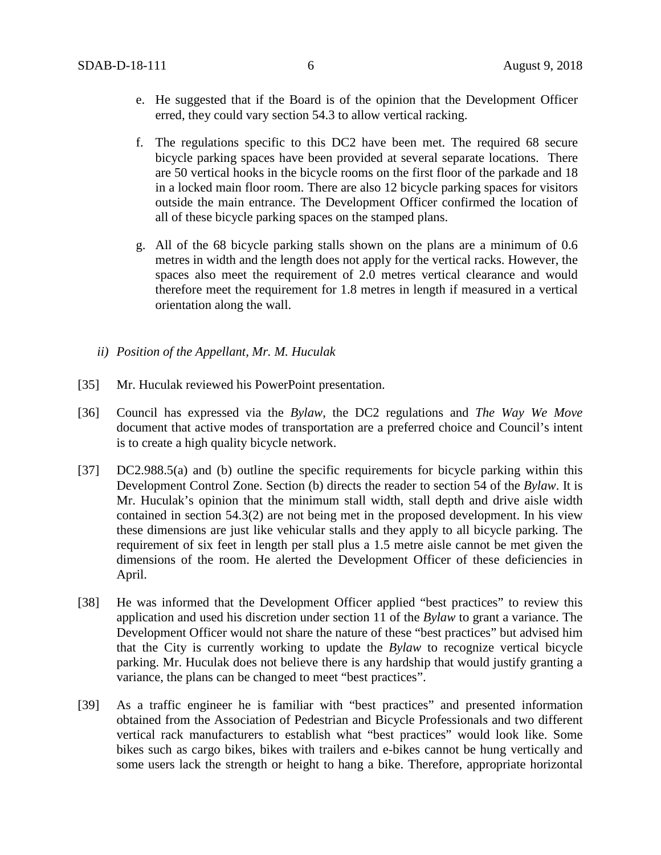- e. He suggested that if the Board is of the opinion that the Development Officer erred, they could vary section 54.3 to allow vertical racking.
- f. The regulations specific to this DC2 have been met. The required 68 secure bicycle parking spaces have been provided at several separate locations. There are 50 vertical hooks in the bicycle rooms on the first floor of the parkade and 18 in a locked main floor room. There are also 12 bicycle parking spaces for visitors outside the main entrance. The Development Officer confirmed the location of all of these bicycle parking spaces on the stamped plans.
- g. All of the 68 bicycle parking stalls shown on the plans are a minimum of 0.6 metres in width and the length does not apply for the vertical racks. However, the spaces also meet the requirement of 2.0 metres vertical clearance and would therefore meet the requirement for 1.8 metres in length if measured in a vertical orientation along the wall.
- *ii) Position of the Appellant, Mr. M. Huculak*
- [35] Mr. Huculak reviewed his PowerPoint presentation.
- [36] Council has expressed via the *Bylaw*, the DC2 regulations and *The Way We Move* document that active modes of transportation are a preferred choice and Council's intent is to create a high quality bicycle network.
- [37] DC2.988.5(a) and (b) outline the specific requirements for bicycle parking within this Development Control Zone. Section (b) directs the reader to section 54 of the *Bylaw*. It is Mr. Huculak's opinion that the minimum stall width, stall depth and drive aisle width contained in section 54.3(2) are not being met in the proposed development. In his view these dimensions are just like vehicular stalls and they apply to all bicycle parking. The requirement of six feet in length per stall plus a 1.5 metre aisle cannot be met given the dimensions of the room. He alerted the Development Officer of these deficiencies in April.
- [38] He was informed that the Development Officer applied "best practices" to review this application and used his discretion under section 11 of the *Bylaw* to grant a variance. The Development Officer would not share the nature of these "best practices" but advised him that the City is currently working to update the *Bylaw* to recognize vertical bicycle parking. Mr. Huculak does not believe there is any hardship that would justify granting a variance, the plans can be changed to meet "best practices".
- [39] As a traffic engineer he is familiar with "best practices" and presented information obtained from the Association of Pedestrian and Bicycle Professionals and two different vertical rack manufacturers to establish what "best practices" would look like. Some bikes such as cargo bikes, bikes with trailers and e-bikes cannot be hung vertically and some users lack the strength or height to hang a bike. Therefore, appropriate horizontal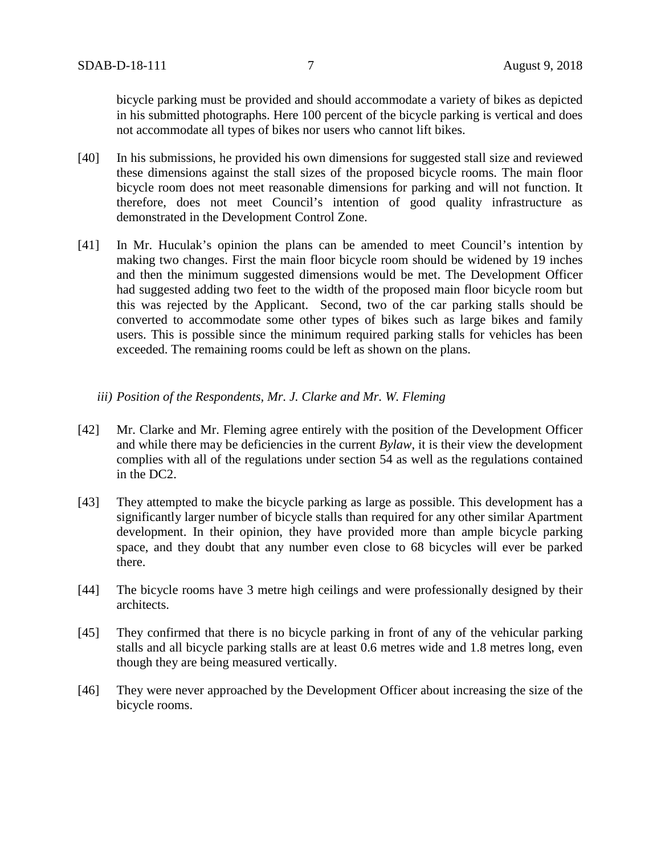bicycle parking must be provided and should accommodate a variety of bikes as depicted in his submitted photographs. Here 100 percent of the bicycle parking is vertical and does not accommodate all types of bikes nor users who cannot lift bikes.

- [40] In his submissions, he provided his own dimensions for suggested stall size and reviewed these dimensions against the stall sizes of the proposed bicycle rooms. The main floor bicycle room does not meet reasonable dimensions for parking and will not function. It therefore, does not meet Council's intention of good quality infrastructure as demonstrated in the Development Control Zone.
- [41] In Mr. Huculak's opinion the plans can be amended to meet Council's intention by making two changes. First the main floor bicycle room should be widened by 19 inches and then the minimum suggested dimensions would be met. The Development Officer had suggested adding two feet to the width of the proposed main floor bicycle room but this was rejected by the Applicant. Second, two of the car parking stalls should be converted to accommodate some other types of bikes such as large bikes and family users. This is possible since the minimum required parking stalls for vehicles has been exceeded. The remaining rooms could be left as shown on the plans.

## *iii) Position of the Respondents, Mr. J. Clarke and Mr. W. Fleming*

- [42] Mr. Clarke and Mr. Fleming agree entirely with the position of the Development Officer and while there may be deficiencies in the current *Bylaw*, it is their view the development complies with all of the regulations under section 54 as well as the regulations contained in the DC2.
- [43] They attempted to make the bicycle parking as large as possible. This development has a significantly larger number of bicycle stalls than required for any other similar Apartment development. In their opinion, they have provided more than ample bicycle parking space, and they doubt that any number even close to 68 bicycles will ever be parked there.
- [44] The bicycle rooms have 3 metre high ceilings and were professionally designed by their architects.
- [45] They confirmed that there is no bicycle parking in front of any of the vehicular parking stalls and all bicycle parking stalls are at least 0.6 metres wide and 1.8 metres long, even though they are being measured vertically.
- [46] They were never approached by the Development Officer about increasing the size of the bicycle rooms.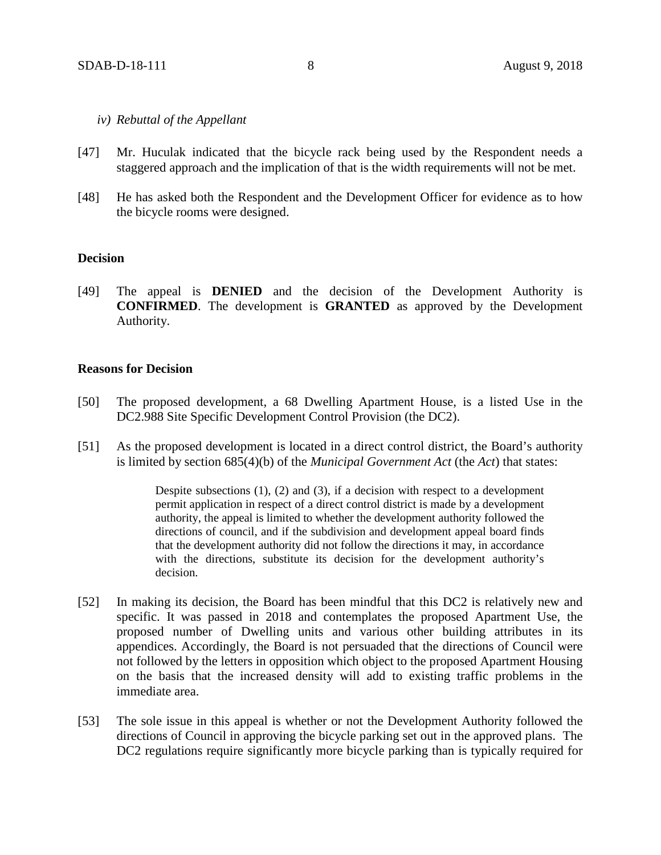#### *iv) Rebuttal of the Appellant*

- [47] Mr. Huculak indicated that the bicycle rack being used by the Respondent needs a staggered approach and the implication of that is the width requirements will not be met.
- [48] He has asked both the Respondent and the Development Officer for evidence as to how the bicycle rooms were designed.

## **Decision**

[49] The appeal is **DENIED** and the decision of the Development Authority is **CONFIRMED**. The development is **GRANTED** as approved by the Development Authority.

### **Reasons for Decision**

- [50] The proposed development, a 68 Dwelling Apartment House, is a listed Use in the DC2.988 Site Specific Development Control Provision (the DC2).
- [51] As the proposed development is located in a direct control district, the Board's authority is limited by section 685(4)(b) of the *Municipal Government Act* (the *Act*) that states:

Despite subsections (1), (2) and (3), if a decision with respect to a development permit application in respect of a direct control district is made by a development authority, the appeal is limited to whether the development authority followed the directions of council, and if the subdivision and development appeal board finds that the development authority did not follow the directions it may, in accordance with the directions, substitute its decision for the development authority's decision.

- [52] In making its decision, the Board has been mindful that this DC2 is relatively new and specific. It was passed in 2018 and contemplates the proposed Apartment Use, the proposed number of Dwelling units and various other building attributes in its appendices. Accordingly, the Board is not persuaded that the directions of Council were not followed by the letters in opposition which object to the proposed Apartment Housing on the basis that the increased density will add to existing traffic problems in the immediate area.
- [53] The sole issue in this appeal is whether or not the Development Authority followed the directions of Council in approving the bicycle parking set out in the approved plans. The DC2 regulations require significantly more bicycle parking than is typically required for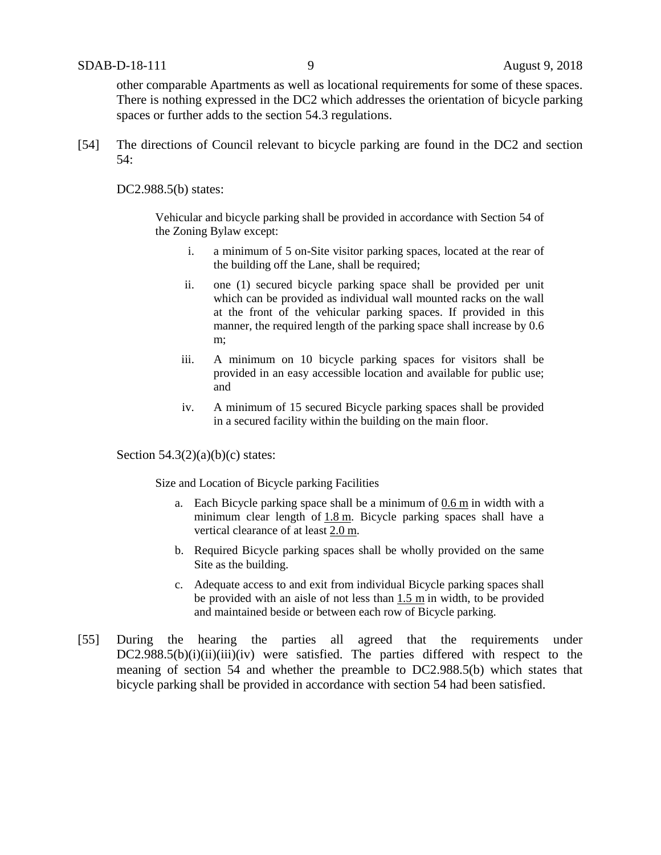other comparable Apartments as well as locational requirements for some of these spaces. There is nothing expressed in the DC2 which addresses the orientation of bicycle parking spaces or further adds to the section 54.3 regulations.

[54] The directions of Council relevant to bicycle parking are found in the DC2 and section 54:

DC2.988.5(b) states:

Vehicular and bicycle parking shall be provided in accordance with Section 54 of the Zoning Bylaw except:

- i. a minimum of 5 on-Site visitor parking spaces, located at the rear of the building off the Lane, shall be required;
- ii. one (1) secured bicycle parking space shall be provided per unit which can be provided as individual wall mounted racks on the wall at the front of the vehicular parking spaces. If provided in this manner, the required length of the parking space shall increase by 0.6 m;
- iii. A minimum on 10 bicycle parking spaces for visitors shall be provided in an easy accessible location and available for public use; and
- iv. A minimum of 15 secured Bicycle parking spaces shall be provided in a secured facility within the building on the main floor.

Section  $54.3(2)(a)(b)(c)$  states:

Size and Location of Bicycle parking Facilities

- a. Each Bicycle parking space shall be a minimum of [0.6](javascript:void(0);) m in width with a minimum clear length of [1.8](javascript:void(0);) m. Bicycle parking spaces shall have a vertical clearance of at least [2.0](javascript:void(0);) m.
- b. Required Bicycle parking spaces shall be wholly provided on the same Site as the building.
- c. Adequate access to and exit from individual Bicycle parking spaces shall be provided with an aisle of not less than [1.5 m](javascript:void(0);) in width, to be provided and maintained beside or between each row of Bicycle parking.
- [55] During the hearing the parties all agreed that the requirements under  $DC2.988.5(b)(i)(ii)(iii)(iv)$  were satisfied. The parties differed with respect to the meaning of section 54 and whether the preamble to DC2.988.5(b) which states that bicycle parking shall be provided in accordance with section 54 had been satisfied.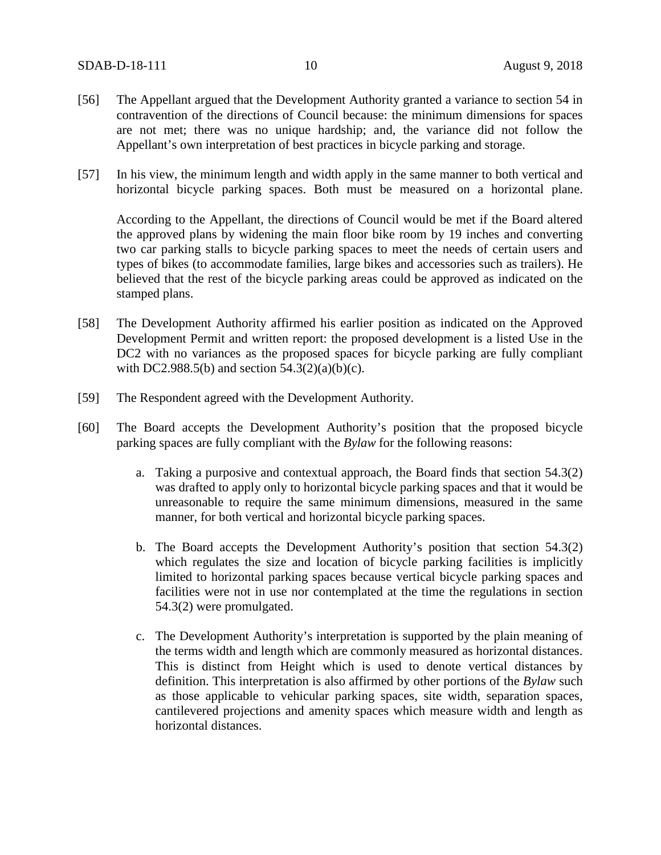- [56] The Appellant argued that the Development Authority granted a variance to section 54 in contravention of the directions of Council because: the minimum dimensions for spaces are not met; there was no unique hardship; and, the variance did not follow the Appellant's own interpretation of best practices in bicycle parking and storage.
- [57] In his view, the minimum length and width apply in the same manner to both vertical and horizontal bicycle parking spaces. Both must be measured on a horizontal plane.

According to the Appellant, the directions of Council would be met if the Board altered the approved plans by widening the main floor bike room by 19 inches and converting two car parking stalls to bicycle parking spaces to meet the needs of certain users and types of bikes (to accommodate families, large bikes and accessories such as trailers). He believed that the rest of the bicycle parking areas could be approved as indicated on the stamped plans.

- [58] The Development Authority affirmed his earlier position as indicated on the Approved Development Permit and written report: the proposed development is a listed Use in the DC2 with no variances as the proposed spaces for bicycle parking are fully compliant with DC2.988.5(b) and section  $54.3(2)(a)(b)(c)$ .
- [59] The Respondent agreed with the Development Authority.
- [60] The Board accepts the Development Authority's position that the proposed bicycle parking spaces are fully compliant with the *Bylaw* for the following reasons:
	- a. Taking a purposive and contextual approach*,* the Board finds that section 54.3(2) was drafted to apply only to horizontal bicycle parking spaces and that it would be unreasonable to require the same minimum dimensions, measured in the same manner, for both vertical and horizontal bicycle parking spaces.
	- b. The Board accepts the Development Authority's position that section 54.3(2) which regulates the size and location of bicycle parking facilities is implicitly limited to horizontal parking spaces because vertical bicycle parking spaces and facilities were not in use nor contemplated at the time the regulations in section 54.3(2) were promulgated.
	- c. The Development Authority's interpretation is supported by the plain meaning of the terms width and length which are commonly measured as horizontal distances. This is distinct from Height which is used to denote vertical distances by definition. This interpretation is also affirmed by other portions of the *Bylaw* such as those applicable to vehicular parking spaces, site width, separation spaces, cantilevered projections and amenity spaces which measure width and length as horizontal distances.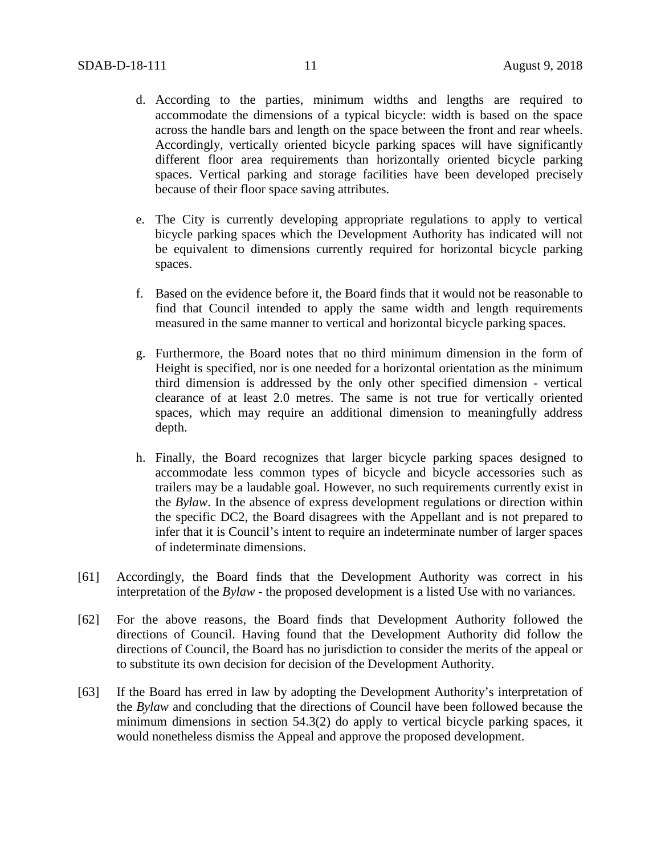- d. According to the parties, minimum widths and lengths are required to accommodate the dimensions of a typical bicycle: width is based on the space across the handle bars and length on the space between the front and rear wheels. Accordingly, vertically oriented bicycle parking spaces will have significantly different floor area requirements than horizontally oriented bicycle parking spaces. Vertical parking and storage facilities have been developed precisely because of their floor space saving attributes.
- e. The City is currently developing appropriate regulations to apply to vertical bicycle parking spaces which the Development Authority has indicated will not be equivalent to dimensions currently required for horizontal bicycle parking spaces.
- f. Based on the evidence before it, the Board finds that it would not be reasonable to find that Council intended to apply the same width and length requirements measured in the same manner to vertical and horizontal bicycle parking spaces.
- g. Furthermore, the Board notes that no third minimum dimension in the form of Height is specified, nor is one needed for a horizontal orientation as the minimum third dimension is addressed by the only other specified dimension - vertical clearance of at least 2.0 metres. The same is not true for vertically oriented spaces, which may require an additional dimension to meaningfully address depth.
- h. Finally, the Board recognizes that larger bicycle parking spaces designed to accommodate less common types of bicycle and bicycle accessories such as trailers may be a laudable goal. However, no such requirements currently exist in the *Bylaw*. In the absence of express development regulations or direction within the specific DC2, the Board disagrees with the Appellant and is not prepared to infer that it is Council's intent to require an indeterminate number of larger spaces of indeterminate dimensions.
- [61] Accordingly, the Board finds that the Development Authority was correct in his interpretation of the *Bylaw* - the proposed development is a listed Use with no variances.
- [62] For the above reasons, the Board finds that Development Authority followed the directions of Council. Having found that the Development Authority did follow the directions of Council, the Board has no jurisdiction to consider the merits of the appeal or to substitute its own decision for decision of the Development Authority.
- [63] If the Board has erred in law by adopting the Development Authority's interpretation of the *Bylaw* and concluding that the directions of Council have been followed because the minimum dimensions in section 54.3(2) do apply to vertical bicycle parking spaces, it would nonetheless dismiss the Appeal and approve the proposed development.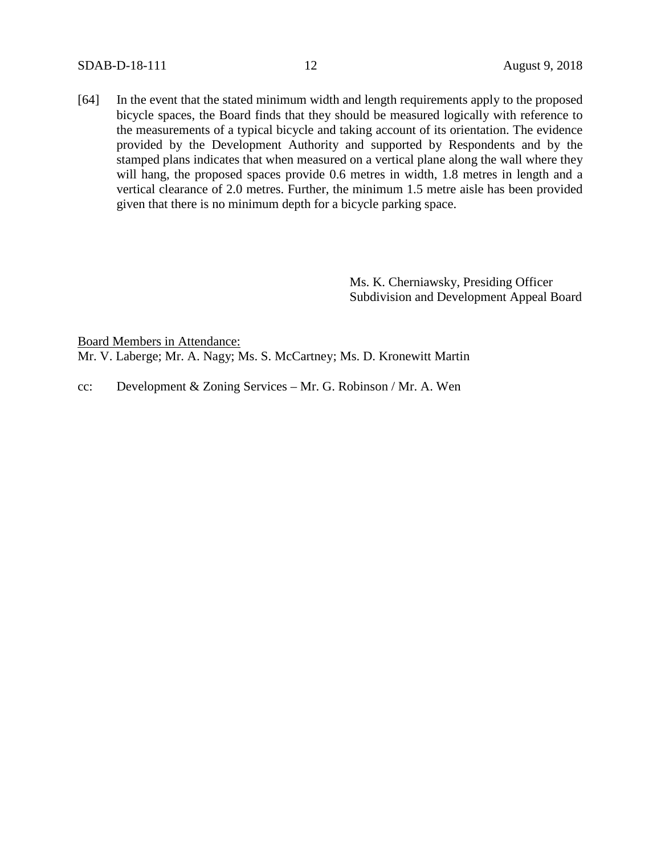SDAB-D-18-111 12 August 9, 2018

[64] In the event that the stated minimum width and length requirements apply to the proposed bicycle spaces, the Board finds that they should be measured logically with reference to the measurements of a typical bicycle and taking account of its orientation. The evidence provided by the Development Authority and supported by Respondents and by the stamped plans indicates that when measured on a vertical plane along the wall where they will hang, the proposed spaces provide 0.6 metres in width, 1.8 metres in length and a vertical clearance of 2.0 metres. Further, the minimum 1.5 metre aisle has been provided given that there is no minimum depth for a bicycle parking space.

> Ms. K. Cherniawsky, Presiding Officer Subdivision and Development Appeal Board

Board Members in Attendance:

Mr. V. Laberge; Mr. A. Nagy; Ms. S. McCartney; Ms. D. Kronewitt Martin

cc: Development & Zoning Services – Mr. G. Robinson / Mr. A. Wen